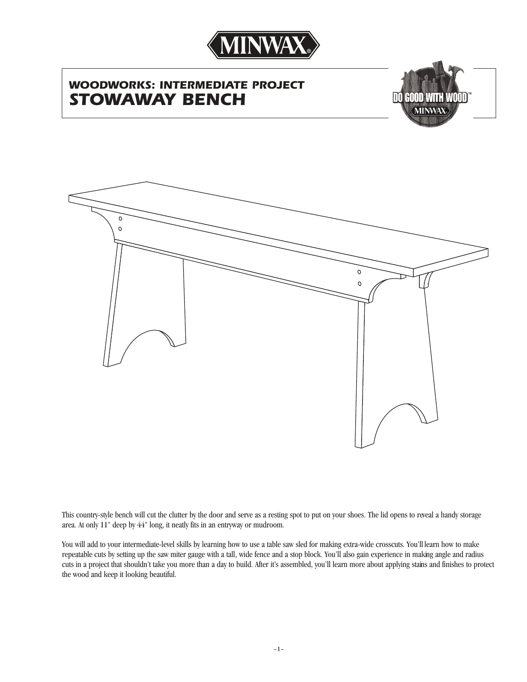

# *WOODWORKS: INTERMEDIATE PROJECT STOWAWAY BENCH*





This country-style bench will cut the clutter by the door and serve as a resting spot to put on your shoes. The lid opens to reveal a handy storage area. At only 11" deep by 44" long, it neatly fits in an entryway or mudroom.

You will add to your intermediate-level skills by learning how to use a table saw sled for making extra-wide crosscuts. You'll learn how to make repeatable cuts by setting up the saw miter gauge with a tall, wide fence and a stop block. You'll also gain experience in making angle and radius cuts in a project that shouldn't take you more than a day to build. After it's assembled, you'll learn more about applying stains and finishes to protect the wood and keep it looking beautiful.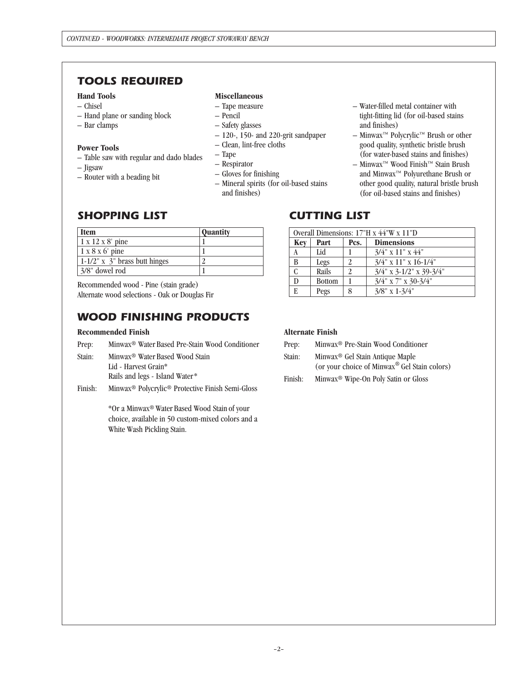# *TOOLS REQUIRED*

### **Hand Tools**

#### **Miscellaneous**

- Chisel
- Hand plane or sanding block
- Bar clamps

#### **Power Tools**

- Table saw with regular and dado blades
- Jigsaw
- Router with a beading bit

- Tape measure
- Pencil
- Safety glasses
- 120-, 150- and 220-grit sandpaper
- Clean, lint-free cloths
- Tape
- Respirator
- Gloves for finishing
- Mineral spirits (for oil-based stains and finishes)
- Water-filled metal container with tight-fitting lid (for oil-based stains and finishes)
- Minwax™ Polycrylic™ Brush or other good quality, synthetic bristle brush (for water-based stains and finishes)
- Minwax™ Wood Finish™ Stain Brush and Minwax™ Polyurethane Brush or other good quality, natural bristle brush (for oil-based stains and finishes)

## *SHOPPING LIST*

| <b>Item</b>                         | <b>Ouantity</b> |
|-------------------------------------|-----------------|
| $1 \times 12 \times 8'$ pine        |                 |
| $1 \times 8 \times 6'$ pine         |                 |
| $1-1/2$ " x $3$ " brass butt hinges |                 |
| $3/8$ " dowel rod                   |                 |

Recommended wood - Pine (stain grade) Alternate wood selections - Oak or Douglas Fir

# *WOOD FINISHING PRODUCTS*

#### **Recommended Finish**

Prep: Minwax® Water Based Pre-Stain Wood Conditioner

Stain: Minwax® Water Based Wood Stain Lid - Harvest Grain\* Rails and legs - Island Water\*

Finish: Minwax® Polycrylic® Protective Finish Semi-Gloss

\*Or a Minwax® Water Based Wood Stain of your choice, available in 50 custom-mixed colors and a White Wash Pickling Stain.

## *CUTTING LIST*

| Overall Dimensions: 17"H x 44"W x 11"D |               |      |                            |
|----------------------------------------|---------------|------|----------------------------|
| <b>Key</b>                             | Part          | Pcs. | <b>Dimensions</b>          |
| A                                      | Lid           |      | $3/4$ " x 11" x 44"        |
| B                                      | Legs          |      | $3/4$ " x 11" x 16-1/4"    |
|                                        | Rails         |      | $3/4$ " x 3-1/2" x 39-3/4" |
| D                                      | <b>Bottom</b> |      | $3/4$ " x 7" x 30-3/4"     |
| $\overline{E}$                         | Pegs          | 8    | $3/8$ " x 1-3/4"           |

### **Alternate Finish**

| Prep:  | Minwax <sup>®</sup> Pre-Stain Wood Conditioner |
|--------|------------------------------------------------|
| Stain: | Minwax <sup>®</sup> Gel Stain Antique Maple    |
|        | (or your choice of Minwax® Gel Stain colors)   |

Finish: Minwax® Wipe-On Poly Satin or Gloss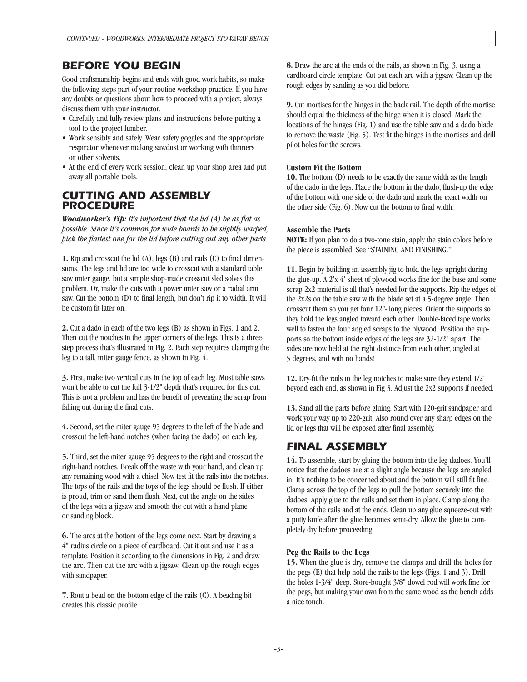## *BEFORE YOU BEGIN*

Good craftsmanship begins and ends with good work habits, so make the following steps part of your routine workshop practice. If you have any doubts or questions about how to proceed with a project, always discuss them with your instructor.

- Carefully and fully review plans and instructions before putting a tool to the project lumber.
- Work sensibly and safely. Wear safety goggles and the appropriate respirator whenever making sawdust or working with thinners or other solvents.
- At the end of every work session, clean up your shop area and put away all portable tools.

## *CUTTING AND ASSEMBLY PROCEDURE*

*Woodworker's Tip: It's important that the lid (A) be as flat as possible. Since it's common for wide boards to be slightly warped, pick the flattest one for the lid before cutting out any other parts.* 

**1.** Rip and crosscut the lid (A), legs (B) and rails (C) to final dimensions. The legs and lid are too wide to crosscut with a standard table saw miter gauge, but a simple shop-made crosscut sled solves this problem. Or, make the cuts with a power miter saw or a radial arm saw. Cut the bottom (D) to final length, but don't rip it to width. It will be custom fit later on.

**2.** Cut a dado in each of the two legs (B) as shown in Figs. 1 and 2. Then cut the notches in the upper corners of the legs. This is a threestep process that's illustrated in Fig. 2. Each step requires clamping the leg to a tall, miter gauge fence, as shown in Fig. 4.

**3.** First, make two vertical cuts in the top of each leg. Most table saws won't be able to cut the full 3-1/2" depth that's required for this cut. This is not a problem and has the benefit of preventing the scrap from falling out during the final cuts.

**4.** Second, set the miter gauge 95 degrees to the left of the blade and crosscut the left-hand notches (when facing the dado) on each leg.

**5.** Third, set the miter gauge 95 degrees to the right and crosscut the right-hand notches. Break off the waste with your hand, and clean up any remaining wood with a chisel. Now test fit the rails into the notches. The tops of the rails and the tops of the legs should be flush. If either is proud, trim or sand them flush. Next, cut the angle on the sides of the legs with a jigsaw and smooth the cut with a hand plane or sanding block.

**6.** The arcs at the bottom of the legs come next. Start by drawing a 4" radius circle on a piece of cardboard. Cut it out and use it as a template. Position it according to the dimensions in Fig. 2 and draw the arc. Then cut the arc with a jigsaw. Clean up the rough edges with sandpaper.

**7.** Rout a bead on the bottom edge of the rails (C). A beading bit creates this classic profile.

**8.** Draw the arc at the ends of the rails, as shown in Fig. 3, using a cardboard circle template. Cut out each arc with a jigsaw. Clean up the rough edges by sanding as you did before.

**9.** Cut mortises for the hinges in the back rail. The depth of the mortise should equal the thickness of the hinge when it is closed. Mark the locations of the hinges (Fig. 1) and use the table saw and a dado blade to remove the waste (Fig. 5). Test fit the hinges in the mortises and drill pilot holes for the screws.

#### **Custom Fit the Bottom**

**10.** The bottom (D) needs to be exactly the same width as the length of the dado in the legs. Place the bottom in the dado, flush-up the edge of the bottom with one side of the dado and mark the exact width on the other side (Fig. 6). Now cut the bottom to final width.

#### **Assemble the Parts**

**NOTE:** If you plan to do a two-tone stain, apply the stain colors before the piece is assembled. See "STAINING AND FINISHING."

**11.** Begin by building an assembly jig to hold the legs upright during the glue-up. A 2'x 4' sheet of plywood works fine for the base and some scrap 2x2 material is all that's needed for the supports. Rip the edges of the 2x2s on the table saw with the blade set at a 5-degree angle. Then crosscut them so you get four 12"- long pieces. Orient the supports so they hold the legs angled toward each other. Double-faced tape works well to fasten the four angled scraps to the plywood. Position the supports so the bottom inside edges of the legs are 32-1/2" apart. The sides are now held at the right distance from each other, angled at 5 degrees, and with no hands!

**12.** Dry-fit the rails in the leg notches to make sure they extend 1/2" beyond each end, as shown in Fig 3. Adjust the 2x2 supports if needed.

**13.** Sand all the parts before gluing. Start with 120-grit sandpaper and work your way up to 220-grit. Also round over any sharp edges on the lid or legs that will be exposed after final assembly.

## *FINAL ASSEMBLY*

**14.** To assemble, start by gluing the bottom into the leg dadoes. You'll notice that the dadoes are at a slight angle because the legs are angled in. It's nothing to be concerned about and the bottom will still fit fine. Clamp across the top of the legs to pull the bottom securely into the dadoes. Apply glue to the rails and set them in place. Clamp along the bottom of the rails and at the ends. Clean up any glue squeeze-out with a putty knife after the glue becomes semi-dry. Allow the glue to completely dry before proceeding.

### **Peg the Rails to the Legs**

**15.** When the glue is dry, remove the clamps and drill the holes for the pegs (E) that help hold the rails to the legs (Figs. 1 and 3). Drill the holes 1-3/4" deep. Store-bought 3/8" dowel rod will work fine for the pegs, but making your own from the same wood as the bench adds a nice touch.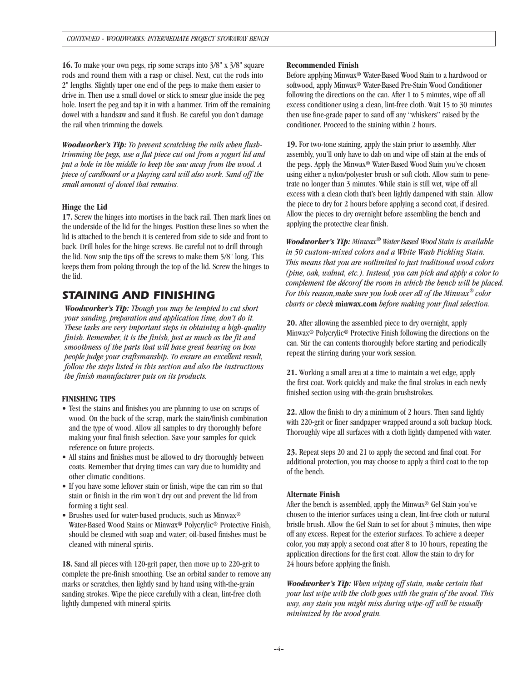**16.** To make your own pegs, rip some scraps into 3/8" x 3/8" square rods and round them with a rasp or chisel. Next, cut the rods into 2" lengths. Slightly taper one end of the pegs to make them easier to drive in. Then use a small dowel or stick to smear glue inside the peg hole. Insert the peg and tap it in with a hammer. Trim off the remaining dowel with a handsaw and sand it flush. Be careful you don't damage the rail when trimming the dowels.

*Woodworker's Tip: To prevent scratching the rails when flushtrimming the pegs, use a flat piece cut out from a yogurt lid and put a hole in the middle to keep the saw away from the wood. A piece of cardboard or a playing card will also work. Sand off the small amount of dowel that remains.*

#### **Hinge the Lid**

**17.** Screw the hinges into mortises in the back rail. Then mark lines on the underside of the lid for the hinges. Position these lines so when the lid is attached to the bench it is centered from side to side and front to back. Drill holes for the hinge screws. Be careful not to drill through the lid. Now snip the tips off the screws to make them 5/8" long. This keeps them from poking through the top of the lid. Screw the hinges to the lid.

## *STAINING AND FINISHING*

*Woodworker's Tip: Though you may be tempted to cut short your sanding, preparation and application time, don't do it. These tasks are very important steps in obtaining a high-quality finish. Remember, it is the finish, just as much as the fit and smoothness of the parts that will have great bearing on how people judge your craftsmanship. To ensure an excellent result, follow the steps listed in this section and also the instructions the finish manufacturer puts on its products.*

#### **FINISHING TIPS**

- Test the stains and finishes you are planning to use on scraps of wood. On the back of the scrap, mark the stain/finish combination and the type of wood. Allow all samples to dry thoroughly before making your final finish selection. Save your samples for quick reference on future projects.
- All stains and finishes must be allowed to dry thoroughly between coats. Remember that drying times can vary due to humidity and other climatic conditions.
- If you have some leftover stain or finish, wipe the can rim so that stain or finish in the rim won't dry out and prevent the lid from forming a tight seal.
- Brushes used for water-based products, such as Minwax® Water-Based Wood Stains or Minwax® Polycrylic® Protective Finish, should be cleaned with soap and water; oil-based finishes must be cleaned with mineral spirits.

**18.** Sand all pieces with 120-grit paper, then move up to 220-grit to complete the pre-finish smoothing. Use an orbital sander to remove any marks or scratches, then lightly sand by hand using with-the-grain sanding strokes. Wipe the piece carefully with a clean, lint-free cloth lightly dampened with mineral spirits.

#### **Recommended Finish**

Before applying Minwax® Water-Based Wood Stain to a hardwood or softwood, apply Minwax® Water-Based Pre-Stain Wood Conditioner following the directions on the can. After 1 to 5 minutes, wipe off all excess conditioner using a clean, lint-free cloth. Wait 15 to 30 minutes then use fine-grade paper to sand off any "whiskers" raised by the conditioner. Proceed to the staining within 2 hours.

**19.** For two-tone staining, apply the stain prior to assembly. After assembly, you'll only have to dab on and wipe off stain at the ends of the pegs. Apply the Minwax® Water-Based Wood Stain you've chosen using either a nylon/polyester brush or soft cloth. Allow stain to penetrate no longer than 3 minutes. While stain is still wet, wipe off all excess with a clean cloth that's been lightly dampened with stain. Allow the piece to dry for 2 hours before applying a second coat, if desired. Allow the pieces to dry overnight before assembling the bench and applying the protective clear finish.

*Woodworker's Tip: Minwax® Water Based Wood Stain is available in 50 custom-mixed colors and a White Wash Pickling Stain. This means that you are notlimited to just traditional wood colors (pine, oak, walnut, etc.). Instead, you can pick and apply a color to complement the décorof the room in which the bench will be placed. For this reason,make sure you look over all of the Minwax® color charts or check* **minwax.com** *before making your final selection.*

**20.** After allowing the assembled piece to dry overnight, apply Minwax*®* Polycrylic*®* Protective Finish following the directions on the can. Stir the can contents thoroughly before starting and periodically repeat the stirring during your work session.

**21.** Working a small area at a time to maintain a wet edge, apply the first coat. Work quickly and make the final strokes in each newly finished section using with-the-grain brushstrokes.

**22.** Allow the finish to dry a minimum of 2 hours. Then sand lightly with 220-grit or finer sandpaper wrapped around a soft backup block. Thoroughly wipe all surfaces with a cloth lightly dampened with water.

**23.** Repeat steps 20 and 21 to apply the second and final coat. For additional protection, you may choose to apply a third coat to the top of the bench.

#### **Alternate Finish**

After the bench is assembled, apply the Minwax® Gel Stain you've chosen to the interior surfaces using a clean, lint-free cloth or natural bristle brush. Allow the Gel Stain to set for about 3 minutes, then wipe off any excess. Repeat for the exterior surfaces. To achieve a deeper color, you may apply a second coat after 8 to 10 hours, repeating the application directions for the first coat. Allow the stain to dry for 24 hours before applying the finish.

*Woodworker's Tip: When wiping off stain, make certain that your last wipe with the cloth goes with the grain of the wood. This way, any stain you might miss during wipe-off will be visually minimized by the wood grain.*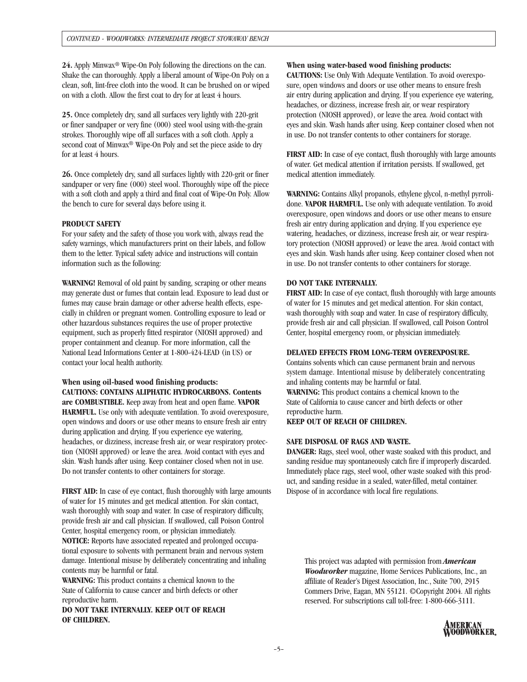**24.** Apply Minwax® Wipe-On Poly following the directions on the can. Shake the can thoroughly. Apply a liberal amount of Wipe-On Poly on a clean, soft, lint-free cloth into the wood. It can be brushed on or wiped on with a cloth. Allow the first coat to dry for at least 4 hours.

**25.** Once completely dry, sand all surfaces very lightly with 220-grit or finer sandpaper or very fine (000) steel wool using with-the-grain strokes. Thoroughly wipe off all surfaces with a soft cloth. Apply a second coat of Minwax<sup>®</sup> Wipe-On Poly and set the piece aside to dry for at least 4 hours.

**26.** Once completely dry, sand all surfaces lightly with 220-grit or finer sandpaper or very fine (000) steel wool. Thoroughly wipe off the piece with a soft cloth and apply a third and final coat of Wipe-On Poly. Allow the bench to cure for several days before using it.

#### **PRODUCT SAFETY**

For your safety and the safety of those you work with, always read the safety warnings, which manufacturers print on their labels, and follow them to the letter. Typical safety advice and instructions will contain information such as the following:

**WARNING!** Removal of old paint by sanding, scraping or other means may generate dust or fumes that contain lead. Exposure to lead dust or fumes may cause brain damage or other adverse health effects, especially in children or pregnant women. Controlling exposure to lead or other hazardous substances requires the use of proper protective equipment, such as properly fitted respirator (NIOSH approved) and proper containment and cleanup. For more information, call the National Lead Informations Center at 1-800-424-LEAD (in US) or contact your local health authority.

**When using oil-based wood finishing products: CAUTIONS: CONTAINS ALIPHATIC HYDROCARBONS. Contents are COMBUSTIBLE.** Keep away from heat and open flame. **VAPOR HARMFUL.** Use only with adequate ventilation. To avoid overexposure, open windows and doors or use other means to ensure fresh air entry during application and drying. If you experience eye watering, headaches, or dizziness, increase fresh air, or wear respiratory protection (NIOSH approved) or leave the area. Avoid contact with eyes and skin. Wash hands after using. Keep container closed when not in use. Do not transfer contents to other containers for storage.

**FIRST AID:** In case of eye contact, flush thoroughly with large amounts of water for 15 minutes and get medical attention. For skin contact, wash thoroughly with soap and water. In case of respiratory difficulty, provide fresh air and call physician. If swallowed, call Poison Control Center, hospital emergency room, or physician immediately. **NOTICE:** Reports have associated repeated and prolonged occupational exposure to solvents with permanent brain and nervous system damage. Intentional misuse by deliberately concentrating and inhaling contents may be harmful or fatal.

**WARNING:** This product contains a chemical known to the State of California to cause cancer and birth defects or other reproductive harm.

**DO NOT TAKE INTERNALLY. KEEP OUT OF REACH OF CHILDREN.**

#### **When using water-based wood finishing products:**

**CAUTIONS:** Use Only With Adequate Ventilation. To avoid overexposure, open windows and doors or use other means to ensure fresh air entry during application and drying. If you experience eye watering, headaches, or dizziness, increase fresh air, or wear respiratory protection (NIOSH approved), or leave the area. Avoid contact with eyes and skin. Wash hands after using. Keep container closed when not in use. Do not transfer contents to other containers for storage.

**FIRST AID:** In case of eye contact, flush thoroughly with large amounts of water. Get medical attention if irritation persists. If swallowed, get medical attention immediately.

**WARNING:** Contains Alkyl propanols, ethylene glycol, n-methyl pyrrolidone. **VAPOR HARMFUL.** Use only with adequate ventilation. To avoid overexposure, open windows and doors or use other means to ensure fresh air entry during application and drying. If you experience eye watering, headaches, or dizziness, increase fresh air, or wear respiratory protection (NIOSH approved) or leave the area. Avoid contact with eyes and skin. Wash hands after using. Keep container closed when not in use. Do not transfer contents to other containers for storage.

#### **DO NOT TAKE INTERNALLY.**

**FIRST AID:** In case of eye contact, flush thoroughly with large amounts of water for 15 minutes and get medical attention. For skin contact, wash thoroughly with soap and water. In case of respiratory difficulty, provide fresh air and call physician. If swallowed, call Poison Control Center, hospital emergency room, or physician immediately.

#### **DELAYED EFFECTS FROM LONG-TERM OVEREXPOSURE.**

Contains solvents which can cause permanent brain and nervous system damage. Intentional misuse by deliberately concentrating and inhaling contents may be harmful or fatal. **WARNING:** This product contains a chemical known to the State of California to cause cancer and birth defects or other reproductive harm. **KEEP OUT OF REACH OF CHILDREN.**

#### **SAFE DISPOSAL OF RAGS AND WASTE.**

**DANGER:** Rags, steel wool, other waste soaked with this product, and sanding residue may spontaneously catch fire if improperly discarded. Immediately place rags, steel wool, other waste soaked with this product, and sanding residue in a sealed, water-filled, metal container. Dispose of in accordance with local fire regulations.

This project was adapted with permission from *American Woodworker* magazine, Home Services Publications, Inc., an affiliate of Reader's Digest Association, Inc., Suite 700, 2915 Commers Drive, Eagan, MN 55121. ©Copyright 2004. All rights reserved. For subscriptions call toll-free: 1-800-666-3111.

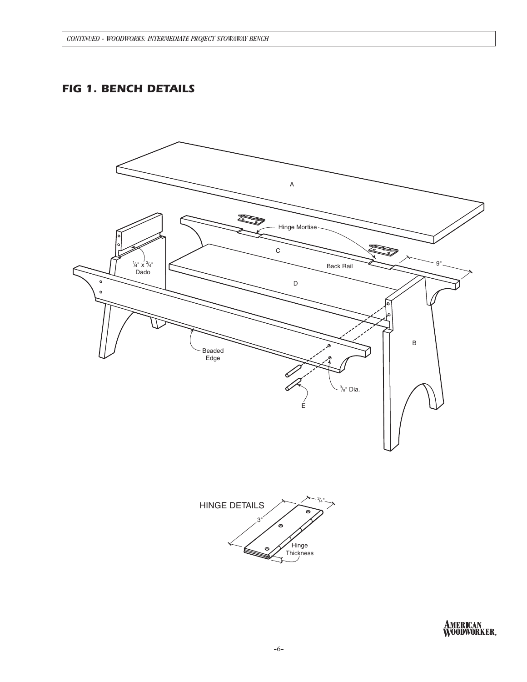## *FIG 1. BENCH DETAILS*





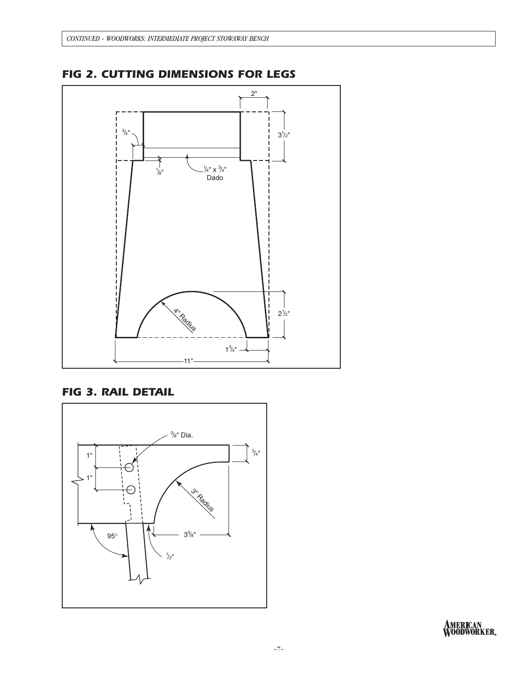

*FIG 2. CUTTING DIMENSIONS FOR LEGS*

# *FIG 3. RAIL DETAIL*